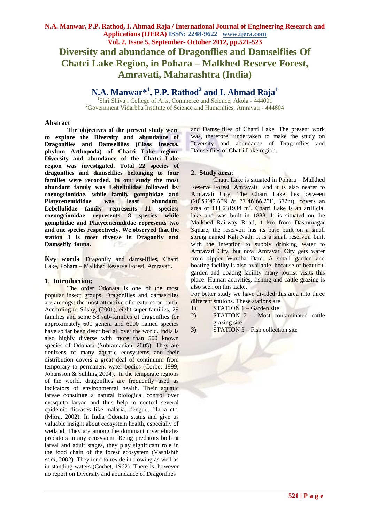# **Diversity and abundance of Dragonflies and Damselflies Of Chatri Lake Region, in Pohara – Malkhed Reserve Forest, Amravati, Maharashtra (India)**

## **N.A. Manwar\* 1 , P.P. Rathod<sup>2</sup> and I. Ahmad Raja<sup>1</sup>**

<sup>1</sup>Shri Shivaji College of Arts, Commerce and Science, Akola - 444001 <sup>2</sup>Government Vidarbha Institute of Science and Humanities, Amravati - 444604

#### **Abstract**

**The objectives of the present study were to explore the Diversity and abundance of Dragonflies and Damselflies (Class Insecta, phylum Arthopoda) of Chatri Lake region. Diversity and abundance of the Chatri Lake region was investigated. Total 22 species of dragonflies and damselflies belonging to four families were recorded. In our study the most abundant family was Lebellulidae followed by coenogrionidae, while family gomphidae and Platycenemididae was least abundant. Lebellulidae family represents 11 species; coenogrionidae represents 8 species while gomphidae and Platycenemididae represents two and one species respectively. We observed that the station 1 is most diverse in Dragonfly and Damselfly fauna.**

**Key words**: Dragonfly and damselflies, Chatri Lake, Pohara – Malkhed Reserve Forest, Amravati.

## **1. Introduction:**

The order Odonata is one of the most popular insect groups. Dragonflies and damselflies are amongst the most attractive of creatures on earth. According to Silsby, (2001), eight super families, 29 families and some 58 sub-families of dragonflies for approximately 600 genera and 6000 named species have so far been described all over the world. India is also highly diverse with more than 500 known species of Odonata (Subramanian, 2005). They are denizens of many aquatic ecosystems and their distribution covers a great deal of continuum from temporary to permanent water bodies (Corbet 1999; Johansson & Suhling 2004). In the temperate regions of the world, dragonflies are frequently used as indicators of environmental health. Their aquatic larvae constitute a natural biological control over mosquito larvae and thus help to control several epidemic diseases like malaria, dengue, filaria etc. (Mitra, 2002). In India Odonata status and give us valuable insight about ecosystem health, especially of wetland. They are among the dominant invertebrates predators in any ecosystem. Being predators both at larval and adult stages, they play significant role in the food chain of the forest ecosystem (Vashishth *et.al,* 2002). They tend to reside in flowing as well as in standing waters (Corbet, 1962). There is, however no report on Diversity and abundance of Dragonflies

and Damselflies of Chatri Lake. The present work was, therefore, undertaken to make the study on Diversity and abundance of Dragonflies and Damselflies of Chatri Lake region.

#### **2. Study area:**

Chatri Lake is situated in Pohara – Malkhed Reserve Forest, Amravati and it is also nearer to Amravati City. The Chatri Lake lies between  $(20^0 53' 42.6'' N \& 77^0 46' 66.2'' E, 372m)$ , covers an area of  $111.231934 \text{ m}^2$ . Chatri Lake is an artificial lake and was built in 1888. It is situated on the Malkhed Railway Road, 1 km from Dasturnagar Square; the reservoir has its base built on a small spring named Kali Nadi. It is a small reservoir built with the intention to supply drinking water to Amravati City, but now Amravati City gets water from Upper Wardha Dam. A small garden and boating facility is also available, because of beautiful garden and boating facility many tourist visits this place. Human activities, fishing and cattle grazing is also seen on this Lake.

For better study we have divided this area into three different stations. These stations are

- 1) STATION 1 Garden site
- 2) STATION 2 Most contaminated cattle grazing site
- 3) STATION 3 Fish collection site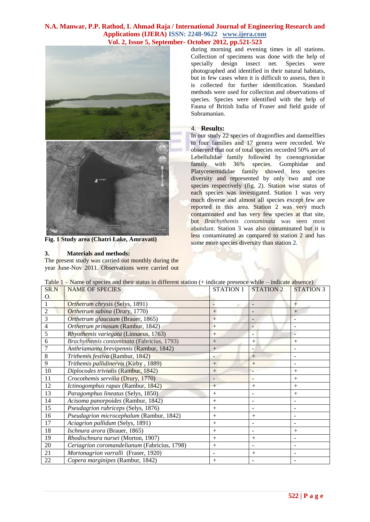### **N.A. Manwar, P.P. Rathod, I. Ahmad Raja / International Journal of Engineering Research and Applications (IJERA) ISSN: 2248-9622 www.ijera.com Vol. 2, Issue 5, September- October 2012, pp.521-523**



**Fig. 1 Study area (Chatri Lake, Amravati)**

#### **3. Materials and methods:**

The present study was carried out monthly during the year June-Nov 2011. Observations were carried out during morning and evening times in all stations. Collection of specimens was done with the help of specially design insect net. Species were photographed and identified in their natural habitats, but in few cases when it is difficult to assess, then it is collected for further identification. Standard methods were used for collection and observations of species. Species were identified with the help of Fauna of British India of Fraser and field guide of Subramanian.

#### 4. **Results:**

In our study 22 species of dragonflies and damselflies to four families and 17 genera were recorded. We observed that out of total species recorded 50% are of Lebellulidae family followed by coenogrionidae family with 36% species. Gomphidae and Platycenemididae family showed less species diversity and represented by only two and one species respectively (fig. 2). Station wise status of each species was investigated. Station 1 was very much diverse and almost all species except few are reported in this area. Station 2 was very much contaminated and has very few species at that site, but *Brachythemis contaminata* was seen most abundant. Station 3 was also contaminated but it is less contaminated as compared to station 2 and has some more species diversity than station 2.

| SR.N           | <b>NAME OF SPECIES</b>                       | <b>STATION 1</b>   | <b>STATION 2</b>         | <b>STATION 3</b> |
|----------------|----------------------------------------------|--------------------|--------------------------|------------------|
| O.             |                                              |                    |                          |                  |
|                | Orthetrum chrysis (Selys, 1891)              |                    |                          | $+$              |
| $\overline{2}$ | Orthetrum sabina (Drury, 1770)               | $+$                |                          | $^{+}$           |
| $\overline{3}$ | Orthetrum glaucaum (Brauer, 1865)            | $+$                |                          |                  |
| $\overline{4}$ | Orthetrum prinosum (Rambur, 1842)            | $+$                |                          |                  |
| 5              | Rhyothemis variegata (Linnaeus, 1763)        | $+$                |                          |                  |
| 6              | Brachythemis contaminata (Fabricius, 1793)   | $+$                | $+$                      | $^{+}$           |
|                | Anthriamanta brevipennis (Rambur, 1842)      | $+$                |                          |                  |
| 8              | Trithemis festiva (Rambur, 1842)             |                    | $+$                      |                  |
| 9              | Trithemis pallidinervis (Kirby, 1889)        | $^{+}$             | $+$                      |                  |
| 10             | Diplocodes trivialis (Rambur, 1842)          | $+$                |                          |                  |
| 11             | Crocothemis servilia (Drury, 1770)           |                    |                          | $+$              |
| 12             | Ictinogomphus rapax (Rambur, 1842)           | $^{+}$             | $+$                      | $+$              |
| 13             | Paragomphus lineatus (Selys, 1850)           | $^{+}$             |                          | $^{+}$           |
| 14             | Acisoma panorpoides (Rambur, 1842)           | $+$                | $\overline{\phantom{a}}$ |                  |
| 15             | Pseudagrion rubriceps (Selys, 1876)          | $\hspace{0.1mm} +$ |                          |                  |
| 16             | Pseudagrion microcephalum (Rambur, 1842)     | $^{+}$             | $^{+}$                   |                  |
| 17             | Aciagrion pallidum (Selys, 1891)             | $^{+}$             |                          |                  |
| 18             | Ischnura arora (Brauer, 1865)                | $^{+}$             |                          | $^{+}$           |
| 19             | Rhodischnura nursei (Morton, 1907)           | $+$                | $+$                      |                  |
| 20             | Ceriagrion coromandelianum (Fabricius, 1798) | $^{+}$             |                          |                  |
| 21             | Mortonagrion varralli (Fraser, 1920)         |                    |                          |                  |
| $22\,$         | Copera marginipes (Rambur, 1842)             | $^{+}$             |                          |                  |

Table 1 – Name of species and their status in different station (+ indicate presence while – indicate absence)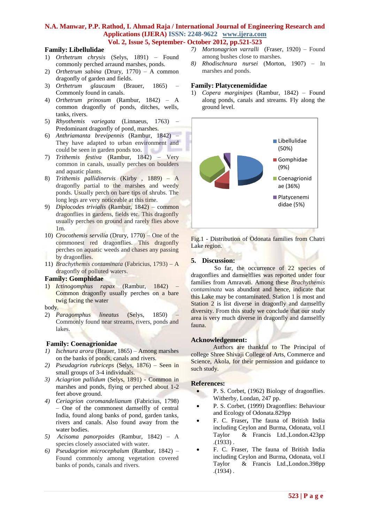#### **N.A. Manwar, P.P. Rathod, I. Ahmad Raja / International Journal of Engineering Research and Applications (IJERA) ISSN: 2248-9622 www.ijera.com Vol. 2, Issue 5, September- October 2012, pp.521-523**

## **Family: Libellulidae**

- 1) *Orthetrum chrysis* (Selys, 1891) Found commonly perched arraund marshes, ponds.
- 2) *Orthetrum sabina* (Drury, 1770) A common dragonfly of garden and fields.
- 3) *Orthetrum glaucaum* (Brauer, 1865) Commonly found in canals.
- 4) *Orthetrum prinosum* (Rambur, 1842) A common dragonfly of ponds, ditches, wells, tanks, rivers.
- 5) *Rhyothemis variegata* (Linnaeus, 1763) Predominant dragonfly of pond, marshes.
- 6) *Anthriamanta brevipennis* (Rambur, 1842) They have adapted to urban environment and could be seen in garden ponds too. 7) *Trithemis festiva* (Rambur, 1842) – Very
- common in canals, usually perches on boulders and aquatic plants.
- 8) *Trithemis pallidinervis* (Kirby , 1889) A dragonfly partial to the marshes and weedy ponds. Usually perch on bare tips of shrubs. The long legs are very noticeable at this time.
- 9) *Diplocodes trivialis* (Rambur, 1842) common dragonflies in gardens, fields etc. This dragonfly usually perches on ground and rarely flies above 1m.
- 10) *Crocothemis servilia* (Drury, 1770) One of the commonest red dragonflies. This dragonfly perches on aquatic weeds and chases any passing by dragonflies.
- 11) *Brachythemis contaminata* (Fabricius, 1793) A dragonfly of polluted waters.

## **Family: Gomphidae**

1) *Ictinogomphus rapax* (Rambur, 1842) – Common dragonfly usually perches on a bare twig facing the water

body.

2) *Paragomphus lineatus* (Selys, 1850) – Commonly found near streams, rivers, ponds and lakes.

## **Family: Coenagrionidae**

- *1) Ischnura arora* (Brauer, 1865) Among marshes on the banks of ponds, canals and rivers.
- *2) Pseudagrion rubriceps* (Selys, 1876) Seen in small groups of 3-4 individuals.
- *3) Aciagrion pallidum* (Selys, 1891) Common in marshes and ponds, flying or perched about 1-2 feet above ground.
- *4) Ceriagrion coromandelianum* (Fabricius, 1798) – One of the commonest damselfly of central India, found along banks of pond, garden tanks, rivers and canals. Also found away from the water bodies.
- *5) Acisoma panorpoides* (Rambur, 1842) A species closely associated with water.
- *6) Pseudagrion microcephalum* (Rambur, 1842) Found commonly among vegetation covered banks of ponds, canals and rivers.
- *7) Mortonagrion varralli* (Fraser, 1920) Found among bushes close to marshes.
- *8) Rhodischnura nursei* (Morton, 1907) In marshes and ponds.

### **Family: Platycenemididae**

1) *Copera marginipes* (Rambur, 1842) – Found along ponds, canals and streams. Fly along the ground level.



Fig.1 - Distribution of Odonata families from Chatri Lake region.

#### **5. Discussion:**

So far, the occurrence of 22 species of dragonflies and damselflies was reported under four families from Amravati. Among these *Brachythemis contaminata* was abundant and hence, indicate that this Lake may be contaminated. Station 1 is most and Station 2 is list diverse in dragonfly and damselfly diversity. From this study we conclude that our study area is very much diverse in dragonfly and damselfly fauna.

#### **Acknowledgement:**

Authors are thankful to The Principal of college Shree Shivaji College of Arts, Commerce and Science, Akola, for their permission and guidance to such study.

## **References:**

- P. S. Corbet, (1962) Biology of dragonflies. Witherby, Londan, 247 pp.
- P. S. Corbet, (1999) Dragonflies: Behaviour and Ecology of Odonata.829pp
- F. C. Fraser**,** The fauna of British India including Ceylon and Burma, Odonata, vol.I Taylor & Francis Ltd.,London.423pp .(1933) .
- F. C. Fraser, The fauna of British India including Ceylon and Burma, Odonata, vol.I Taylor & Francis Ltd.,London.398pp .(1934) .